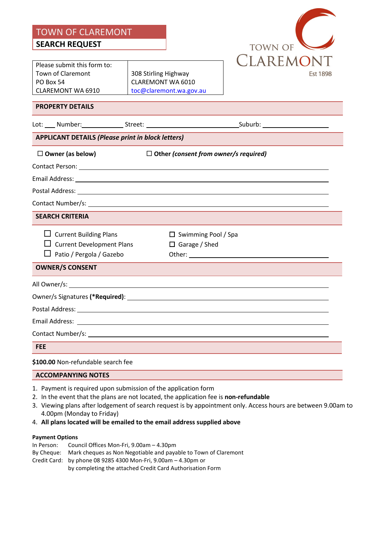TOWN OF CLAREMONT **SEARCH REQUEST**

**TOWN OF** CLAREMONT **Est 1898** 

Please submit this form to: Town of Claremont PO Box 54 CLAREMONT WA 6910

308 Stirling Highway CLAREMONT WA 6010 [toc@claremont.wa.gov.au](mailto:toc@claremont.wa.gov.au)

# **PROPERTY DETAILS**

|                                                          |                                    |  | Lot: ____ Number:_________________Street: __________________________________Suburb: _____________________ |  |  |  |
|----------------------------------------------------------|------------------------------------|--|-----------------------------------------------------------------------------------------------------------|--|--|--|
| <b>APPLICANT DETAILS (Please print in block letters)</b> |                                    |  |                                                                                                           |  |  |  |
|                                                          | $\Box$ Owner (as below)            |  | $\Box$ Other (consent from owner/s required)                                                              |  |  |  |
|                                                          |                                    |  |                                                                                                           |  |  |  |
|                                                          |                                    |  |                                                                                                           |  |  |  |
|                                                          |                                    |  |                                                                                                           |  |  |  |
|                                                          |                                    |  |                                                                                                           |  |  |  |
|                                                          | <b>SEARCH CRITERIA</b>             |  |                                                                                                           |  |  |  |
|                                                          | $\Box$ Current Building Plans      |  | $\Box$ Swimming Pool / Spa                                                                                |  |  |  |
|                                                          | $\Box$ Current Development Plans   |  | $\Box$ Garage / Shed                                                                                      |  |  |  |
|                                                          | $\Box$ Patio / Pergola / Gazebo    |  |                                                                                                           |  |  |  |
|                                                          | <b>OWNER/S CONSENT</b>             |  |                                                                                                           |  |  |  |
|                                                          |                                    |  |                                                                                                           |  |  |  |
|                                                          |                                    |  |                                                                                                           |  |  |  |
|                                                          |                                    |  |                                                                                                           |  |  |  |
|                                                          |                                    |  |                                                                                                           |  |  |  |
|                                                          |                                    |  |                                                                                                           |  |  |  |
| <b>FEE</b>                                               |                                    |  |                                                                                                           |  |  |  |
|                                                          | \$100.00 Non-refundable search fee |  |                                                                                                           |  |  |  |
|                                                          | <b>ACCOMPANYING NOTES</b>          |  |                                                                                                           |  |  |  |

- 1. Payment is required upon submission of the application form
- 2. In the event that the plans are not located, the application fee is **non-refundable**
- 3. Viewing plans after lodgement of search request is by appointment only. Access hours are between 9.00am to 4.00pm (Monday to Friday)
- 4. **All plans located will be emailed to the email address supplied above**

### **Payment Options**

In Person: Council Offices Mon-Fri, 9.00am – 4.30pm By Cheque: Mark cheques as Non Negotiable and payable to Town of Claremont Credit Card: by phone 08 9285 4300 Mon-Fri, 9.00am – 4.30pm or by completing the attached Credit Card Authorisation Form